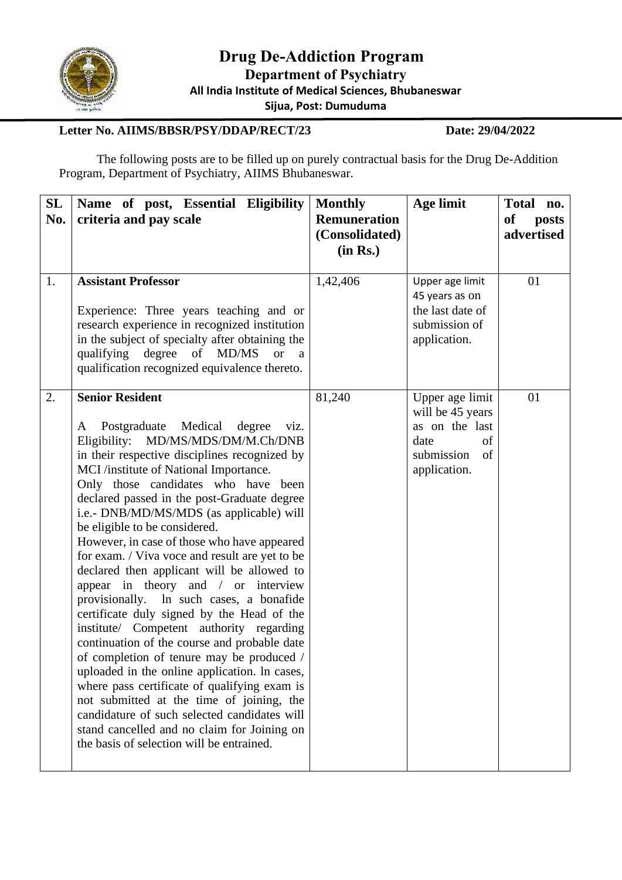

## **Letter No. AIIMS/BBSR/PSY/DDAP/RECT/23 Date: 29/04/2022**

The following posts are to be filled up on purely contractual basis for the Drug De-Addition Program, Department of Psychiatry, AIIMS Bhubaneswar.

| <b>SL</b> | Name of post, Essential Eligibility                                                              | <b>Monthly</b>      | <b>Age limit</b>              | Total no.          |
|-----------|--------------------------------------------------------------------------------------------------|---------------------|-------------------------------|--------------------|
| No.       | criteria and pay scale                                                                           | <b>Remuneration</b> |                               | <b>of</b><br>posts |
|           |                                                                                                  | (Consolidated)      |                               | advertised         |
|           |                                                                                                  | (in Rs.)            |                               |                    |
|           |                                                                                                  |                     |                               |                    |
| 1.        | <b>Assistant Professor</b>                                                                       | 1,42,406            | Upper age limit               | 01                 |
|           |                                                                                                  |                     | 45 years as on                |                    |
|           | Experience: Three years teaching and or                                                          |                     | the last date of              |                    |
|           | research experience in recognized institution<br>in the subject of specialty after obtaining the |                     | submission of<br>application. |                    |
|           | qualifying<br>degree of MD/MS<br><b>or</b><br>a                                                  |                     |                               |                    |
|           | qualification recognized equivalence thereto.                                                    |                     |                               |                    |
|           |                                                                                                  |                     |                               |                    |
| 2.        | <b>Senior Resident</b>                                                                           | 81,240              | Upper age limit               | 01                 |
|           |                                                                                                  |                     | will be 45 years              |                    |
|           | Postgraduate Medical<br>degree<br>A<br>viz.                                                      |                     | as on the last                |                    |
|           | Eligibility: MD/MS/MDS/DM/M.Ch/DNB                                                               |                     | date<br>of                    |                    |
|           | in their respective disciplines recognized by                                                    |                     | submission<br>of              |                    |
|           | MCI /institute of National Importance.                                                           |                     | application.                  |                    |
|           | Only those candidates who have been<br>declared passed in the post-Graduate degree               |                     |                               |                    |
|           | i.e.- DNB/MD/MS/MDS (as applicable) will                                                         |                     |                               |                    |
|           | be eligible to be considered.                                                                    |                     |                               |                    |
|           | However, in case of those who have appeared                                                      |                     |                               |                    |
|           | for exam. / Viva voce and result are yet to be                                                   |                     |                               |                    |
|           | declared then applicant will be allowed to                                                       |                     |                               |                    |
|           | appear in theory and / or interview                                                              |                     |                               |                    |
|           | provisionally. In such cases, a bonafide                                                         |                     |                               |                    |
|           | certificate duly signed by the Head of the                                                       |                     |                               |                    |
|           | institute/ Competent authority regarding<br>continuation of the course and probable date         |                     |                               |                    |
|           | of completion of tenure may be produced /                                                        |                     |                               |                    |
|           | uploaded in the online application. In cases,                                                    |                     |                               |                    |
|           | where pass certificate of qualifying exam is                                                     |                     |                               |                    |
|           | not submitted at the time of joining, the                                                        |                     |                               |                    |
|           | candidature of such selected candidates will                                                     |                     |                               |                    |
|           | stand cancelled and no claim for Joining on                                                      |                     |                               |                    |
|           | the basis of selection will be entrained.                                                        |                     |                               |                    |
|           |                                                                                                  |                     |                               |                    |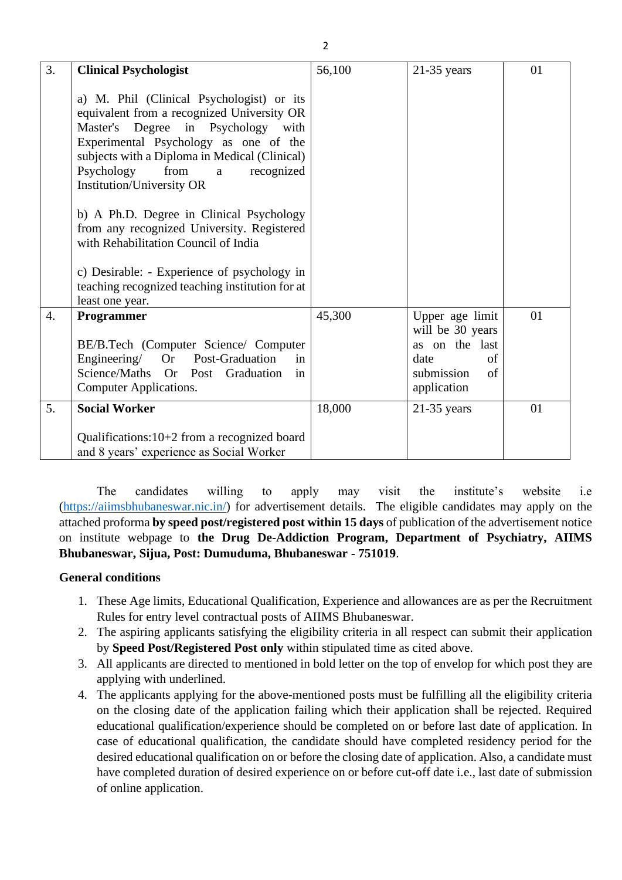| 3.               | <b>Clinical Psychologist</b>                                                                                                                                                                                                                                                                                                                                                                                                           | 56,100 | $21-35$ years                                                                                          | 01 |
|------------------|----------------------------------------------------------------------------------------------------------------------------------------------------------------------------------------------------------------------------------------------------------------------------------------------------------------------------------------------------------------------------------------------------------------------------------------|--------|--------------------------------------------------------------------------------------------------------|----|
|                  | a) M. Phil (Clinical Psychologist) or its<br>equivalent from a recognized University OR<br>Master's Degree in Psychology with<br>Experimental Psychology as one of the<br>subjects with a Diploma in Medical (Clinical)<br>Psychology<br>from<br>recognized<br>a<br><b>Institution/University OR</b><br>b) A Ph.D. Degree in Clinical Psychology<br>from any recognized University. Registered<br>with Rehabilitation Council of India |        |                                                                                                        |    |
|                  | c) Desirable: - Experience of psychology in<br>teaching recognized teaching institution for at<br>least one year.                                                                                                                                                                                                                                                                                                                      |        |                                                                                                        |    |
| $\overline{4}$ . | Programmer<br>BE/B.Tech (Computer Science/ Computer<br>Engineering/ Or<br>Post-Graduation<br>in<br>Science/Maths Or Post<br>Graduation<br>in<br>Computer Applications.                                                                                                                                                                                                                                                                 | 45,300 | Upper age limit<br>will be 30 years<br>as on the last<br>date<br>of<br>submission<br>of<br>application | 01 |
| 5.               | <b>Social Worker</b>                                                                                                                                                                                                                                                                                                                                                                                                                   | 18,000 | $21-35$ years                                                                                          | 01 |
|                  | Qualifications:10+2 from a recognized board<br>and 8 years' experience as Social Worker                                                                                                                                                                                                                                                                                                                                                |        |                                                                                                        |    |

The candidates willing to apply may visit the institute's website i.e [\(https://aiimsbhubaneswar.nic.in/\)](https://aiimsbhubaneswar.nic.in/) for advertisement details. The eligible candidates may apply on the attached proforma **by speed post/registered post within 15 days** of publication of the advertisement notice on institute webpage to **the Drug De-Addiction Program, Department of Psychiatry, AIIMS Bhubaneswar, Sijua, Post: Dumuduma, Bhubaneswar - 751019**.

#### **General conditions**

- 1. These Age limits, Educational Qualification, Experience and allowances are as per the Recruitment Rules for entry level contractual posts of AIIMS Bhubaneswar.
- 2. The aspiring applicants satisfying the eligibility criteria in all respect can submit their application by **Speed Post/Registered Post only** within stipulated time as cited above.
- 3. All applicants are directed to mentioned in bold letter on the top of envelop for which post they are applying with underlined.
- 4. The applicants applying for the above-mentioned posts must be fulfilling all the eligibility criteria on the closing date of the application failing which their application shall be rejected. Required educational qualification/experience should be completed on or before last date of application. In case of educational qualification, the candidate should have completed residency period for the desired educational qualification on or before the closing date of application. Also, a candidate must have completed duration of desired experience on or before cut-off date i.e., last date of submission of online application.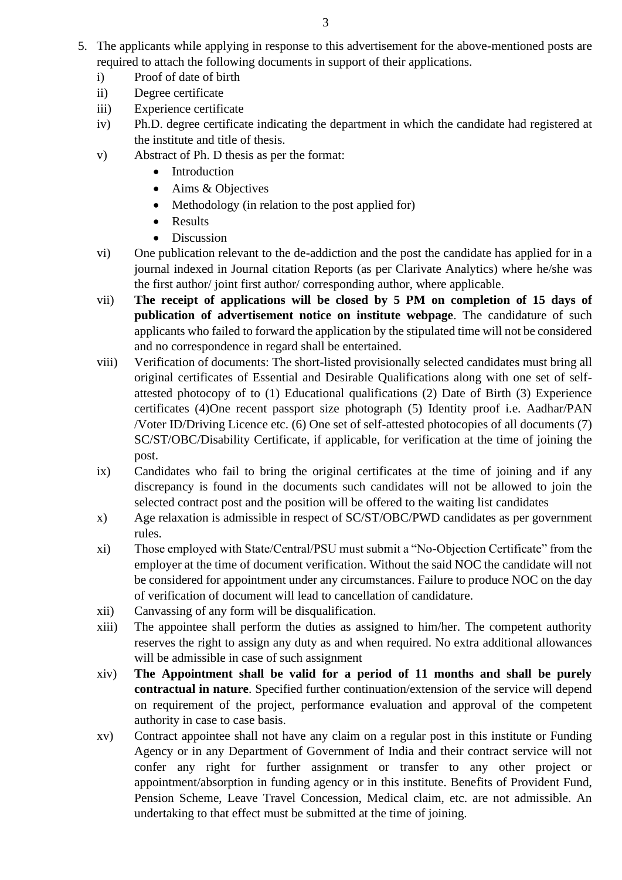- 5. The applicants while applying in response to this advertisement for the above-mentioned posts are required to attach the following documents in support of their applications.
	- i) Proof of date of birth
	- ii) Degree certificate
	- iii) Experience certificate
	- iv) Ph.D. degree certificate indicating the department in which the candidate had registered at the institute and title of thesis.
	- v) Abstract of Ph. D thesis as per the format:
		- Introduction
		- Aims & Objectives
		- Methodology (in relation to the post applied for)
		- Results
		- Discussion
	- vi) One publication relevant to the de-addiction and the post the candidate has applied for in a journal indexed in Journal citation Reports (as per Clarivate Analytics) where he/she was the first author/ joint first author/ corresponding author, where applicable.
	- vii) **The receipt of applications will be closed by 5 PM on completion of 15 days of publication of advertisement notice on institute webpage**. The candidature of such applicants who failed to forward the application by the stipulated time will not be considered and no correspondence in regard shall be entertained.
	- viii) Verification of documents: The short-listed provisionally selected candidates must bring all original certificates of Essential and Desirable Qualifications along with one set of selfattested photocopy of to (1) Educational qualifications (2) Date of Birth (3) Experience certificates (4)One recent passport size photograph (5) Identity proof i.e. Aadhar/PAN /Voter ID/Driving Licence etc. (6) One set of self-attested photocopies of all documents (7) SC/ST/OBC/Disability Certificate, if applicable, for verification at the time of joining the post.
	- ix) Candidates who fail to bring the original certificates at the time of joining and if any discrepancy is found in the documents such candidates will not be allowed to join the selected contract post and the position will be offered to the waiting list candidates
	- x) Age relaxation is admissible in respect of SC/ST/OBC/PWD candidates as per government rules.
	- xi) Those employed with State/Central/PSU must submit a "No-Objection Certificate" from the employer at the time of document verification. Without the said NOC the candidate will not be considered for appointment under any circumstances. Failure to produce NOC on the day of verification of document will lead to cancellation of candidature.
	- xii) Canvassing of any form will be disqualification.
	- xiii) The appointee shall perform the duties as assigned to him/her. The competent authority reserves the right to assign any duty as and when required. No extra additional allowances will be admissible in case of such assignment
	- xiv) **The Appointment shall be valid for a period of 11 months and shall be purely contractual in nature**. Specified further continuation/extension of the service will depend on requirement of the project, performance evaluation and approval of the competent authority in case to case basis.
	- xv) Contract appointee shall not have any claim on a regular post in this institute or Funding Agency or in any Department of Government of India and their contract service will not confer any right for further assignment or transfer to any other project or appointment/absorption in funding agency or in this institute. Benefits of Provident Fund, Pension Scheme, Leave Travel Concession, Medical claim, etc. are not admissible. An undertaking to that effect must be submitted at the time of joining.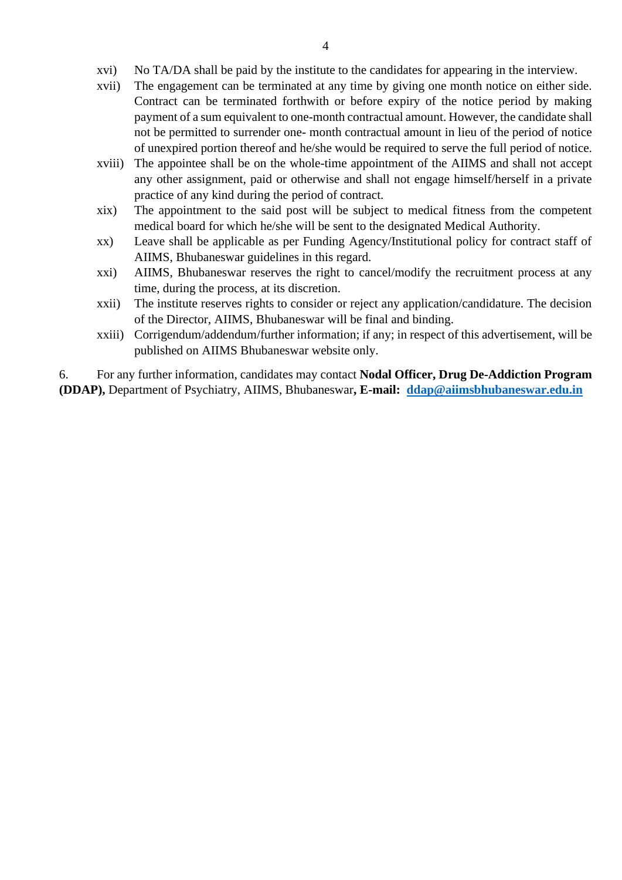- xvi) No TA/DA shall be paid by the institute to the candidates for appearing in the interview.
- xvii) The engagement can be terminated at any time by giving one month notice on either side. Contract can be terminated forthwith or before expiry of the notice period by making payment of a sum equivalent to one-month contractual amount. However, the candidate shall not be permitted to surrender one- month contractual amount in lieu of the period of notice of unexpired portion thereof and he/she would be required to serve the full period of notice.
- xviii) The appointee shall be on the whole-time appointment of the AIIMS and shall not accept any other assignment, paid or otherwise and shall not engage himself/herself in a private practice of any kind during the period of contract.
- xix) The appointment to the said post will be subject to medical fitness from the competent medical board for which he/she will be sent to the designated Medical Authority.
- xx) Leave shall be applicable as per Funding Agency/Institutional policy for contract staff of AIIMS, Bhubaneswar guidelines in this regard.
- xxi) AIIMS, Bhubaneswar reserves the right to cancel/modify the recruitment process at any time, during the process, at its discretion.
- xxii) The institute reserves rights to consider or reject any application/candidature. The decision of the Director, AIIMS, Bhubaneswar will be final and binding.
- xxiii) Corrigendum/addendum/further information; if any; in respect of this advertisement, will be published on AIIMS Bhubaneswar website only.

6. For any further information, candidates may contact **Nodal Officer, Drug De-Addiction Program (DDAP),** Department of Psychiatry, AIIMS, Bhubaneswar**, E-mail: [ddap@aiimsbhubaneswar.edu.in](mailto:ddap@aiimsbhubaneswar.edu.in)**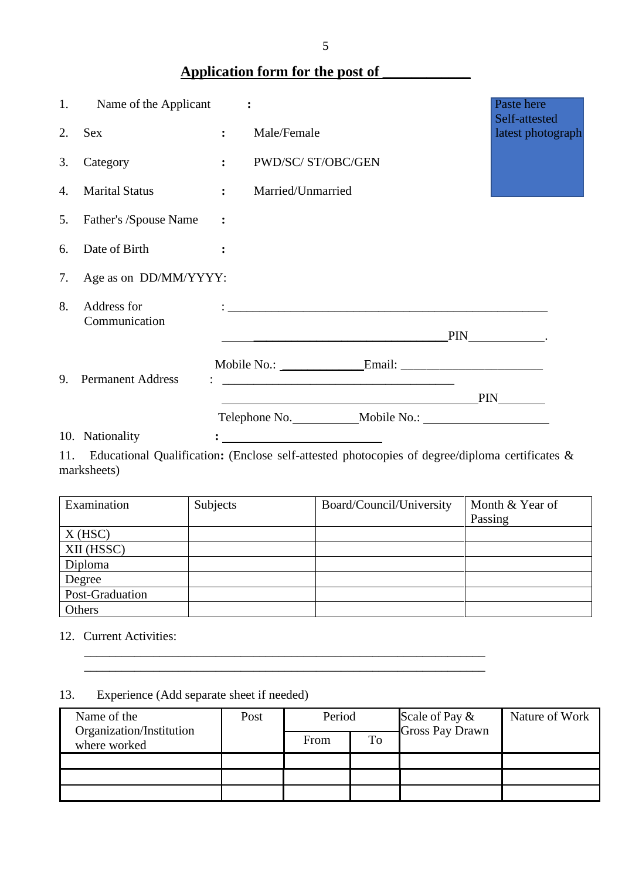# **Application form for the post of \_\_\_\_\_\_\_\_\_\_\_\_**

| 1. | Name of the Applicant        | $\sim$ $\sim$ $\sim$ |                                                                                                                        |  | Paste here<br>Self-attested |
|----|------------------------------|----------------------|------------------------------------------------------------------------------------------------------------------------|--|-----------------------------|
| 2. | <b>Sex</b>                   | $\ddot{\cdot}$       | Male/Female                                                                                                            |  | latest photograph           |
| 3. | Category                     | $\ddot{\cdot}$       | PWD/SC/ST/OBC/GEN                                                                                                      |  |                             |
| 4. | <b>Marital Status</b>        | $\ddot{\cdot}$       | Married/Unmarried                                                                                                      |  |                             |
| 5. | Father's /Spouse Name        |                      |                                                                                                                        |  |                             |
| 6. | Date of Birth                |                      |                                                                                                                        |  |                             |
| 7. | Age as on DD/MM/YYYY:        |                      |                                                                                                                        |  |                             |
| 8. | Address for<br>Communication |                      |                                                                                                                        |  |                             |
|    |                              |                      |                                                                                                                        |  | $-PIN$ .                    |
| 9. | <b>Permanent Address</b>     |                      |                                                                                                                        |  |                             |
|    |                              |                      |                                                                                                                        |  | <b>PIN</b>                  |
|    |                              |                      |                                                                                                                        |  |                             |
|    | 10. Nationality              |                      | <u> 1989 - Johann Barnett, fransk konge og det forskellige og det forskellige og det forskellige og det forskellig</u> |  |                             |

11. Educational Qualification**:** (Enclose self-attested photocopies of degree/diploma certificates & marksheets)

| Examination     | Subjects | Board/Council/University | Month & Year of |
|-----------------|----------|--------------------------|-----------------|
|                 |          |                          | Passing         |
| $X$ (HSC)       |          |                          |                 |
| XII (HSSC)      |          |                          |                 |
| Diploma         |          |                          |                 |
| Degree          |          |                          |                 |
| Post-Graduation |          |                          |                 |
| Others          |          |                          |                 |

 $\overline{\phantom{a}}$  ,  $\overline{\phantom{a}}$  ,  $\overline{\phantom{a}}$  ,  $\overline{\phantom{a}}$  ,  $\overline{\phantom{a}}$  ,  $\overline{\phantom{a}}$  ,  $\overline{\phantom{a}}$  ,  $\overline{\phantom{a}}$  ,  $\overline{\phantom{a}}$  ,  $\overline{\phantom{a}}$  ,  $\overline{\phantom{a}}$  ,  $\overline{\phantom{a}}$  ,  $\overline{\phantom{a}}$  ,  $\overline{\phantom{a}}$  ,  $\overline{\phantom{a}}$  ,  $\overline{\phantom{a}}$ \_\_\_\_\_\_\_\_\_\_\_\_\_\_\_\_\_\_\_\_\_\_\_\_\_\_\_\_\_\_\_\_\_\_\_\_\_\_\_\_\_\_\_\_\_\_\_\_\_\_\_\_\_\_\_\_\_\_\_\_\_\_\_\_

12. Current Activities:

# 13. Experience (Add separate sheet if needed)

| Name of the                              | Post | Period |    | Scale of Pay &         | Nature of Work |
|------------------------------------------|------|--------|----|------------------------|----------------|
| Organization/Institution<br>where worked |      | From   | To | <b>Gross Pay Drawn</b> |                |
|                                          |      |        |    |                        |                |
|                                          |      |        |    |                        |                |
|                                          |      |        |    |                        |                |